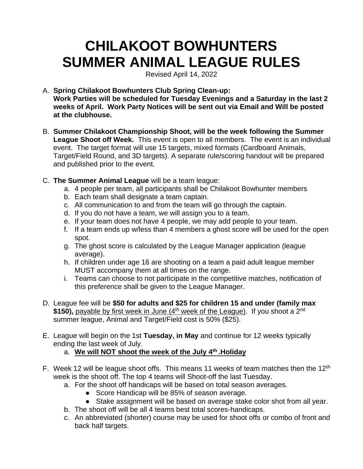# **CHILAKOOT BOWHUNTERS SUMMER ANIMAL LEAGUE RULES**

Revised April 14, 2022

- A. **Spring Chilakoot Bowhunters Club Spring Clean-up: Work Parties will be scheduled for Tuesday Evenings and a Saturday in the last 2 weeks of April. Work Party Notices will be sent out via Email and Will be posted at the clubhouse.**
- B. **Summer Chilakoot Championship Shoot, will be the week following the Summer League Shoot off Week.** This event is open to all members. The event is an individual event. The target format will use 15 targets, mixed formats (Cardboard Animals, Target/Field Round, and 3D targets). A separate rule/scoring handout will be prepared and published prior to the event.
- C. **The Summer Animal League** will be a team league:
	- a. 4 people per team, all participants shall be Chilakoot Bowhunter members
	- b. Each team shall designate a team captain.
	- c. All communication to and from the team will go through the captain.
	- d. If you do not have a team, we will assign you to a team.
	- e. If your team does not have 4 people, we may add people to your team.
	- f. If a team ends up w/less than 4 members a ghost score will be used for the open spot.
	- g. The ghost score is calculated by the League Manager application (league average).
	- h. If children under age 16 are shooting on a team a paid adult league member MUST accompany them at all times on the range.
	- i. Teams can choose to not participate in the competitive matches, notification of this preference shall be given to the League Manager.
- D. League fee will be **\$50 for adults and \$25 for children 15 and under (family max**  \$150), payable by first week in June (4<sup>th</sup> week of the League). If you shoot a 2<sup>nd</sup> summer league, Animal and Target/Field cost is 50% (\$25).
- E. League will begin on the 1st **Tuesday, in May** and continue for 12 weeks typically ending the last week of July.

## a. **We will NOT shoot the week of the July 4th .Holiday**

- F. Week 12 will be league shoot offs. This means 11 weeks of team matches then the 12<sup>th</sup> week is the shoot off. The top 4 teams will Shoot-off the last Tuesday.
	- a. For the shoot off handicaps will be based on total season averages.
		- Score Handicap will be 85% of season average.
		- Stake assignment will be based on average stake color shot from all year.
	- b. The shoot off will be all 4 teams best total scores-handicaps.
	- c. An abbreviated (shorter) course may be used for shoot offs or combo of front and back half targets.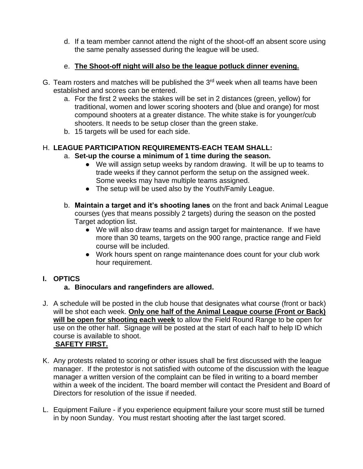d. If a team member cannot attend the night of the shoot-off an absent score using the same penalty assessed during the league will be used.

#### e. **The Shoot-off night will also be the league potluck dinner evening.**

- G. Team rosters and matches will be published the  $3<sup>rd</sup>$  week when all teams have been established and scores can be entered.
	- a. For the first 2 weeks the stakes will be set in 2 distances (green, yellow) for traditional, women and lower scoring shooters and (blue and orange) for most compound shooters at a greater distance. The white stake is for younger/cub shooters. It needs to be setup closer than the green stake.
	- b. 15 targets will be used for each side.

#### H. **LEAGUE PARTICIPATION REQUIREMENTS-EACH TEAM SHALL:**

#### a. **Set-up the course a minimum of 1 time during the season.**

- We will assign setup weeks by random drawing. It will be up to teams to trade weeks if they cannot perform the setup on the assigned week. Some weeks may have multiple teams assigned.
- The setup will be used also by the Youth/Family League.
- b. **Maintain a target and it's shooting lanes** on the front and back Animal League courses (yes that means possibly 2 targets) during the season on the posted Target adoption list.
	- We will also draw teams and assign target for maintenance. If we have more than 30 teams, targets on the 900 range, practice range and Field course will be included.
	- Work hours spent on range maintenance does count for your club work hour requirement.

## **I. OPTICS**

## **a. Binoculars and rangefinders are allowed.**

J. A schedule will be posted in the club house that designates what course (front or back) will be shot each week. **Only one half of the Animal League course (Front or Back) will be open for shooting each week** to allow the Field Round Range to be open for use on the other half. Signage will be posted at the start of each half to help ID which course is available to shoot.

## **SAFETY FIRST.**

- K. Any protests related to scoring or other issues shall be first discussed with the league manager. If the protestor is not satisfied with outcome of the discussion with the league manager a written version of the complaint can be filed in writing to a board member within a week of the incident. The board member will contact the President and Board of Directors for resolution of the issue if needed.
- L. Equipment Failure if you experience equipment failure your score must still be turned in by noon Sunday. You must restart shooting after the last target scored.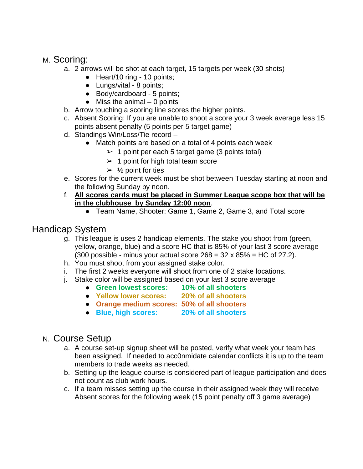# M. Scoring:

- a. 2 arrows will be shot at each target, 15 targets per week (30 shots)
	- Heart/10 ring 10 points;
	- Lungs/vital 8 points;
	- Body/cardboard 5 points;
	- $\bullet$  Miss the animal  $-0$  points
- b. Arrow touching a scoring line scores the higher points.
- c. Absent Scoring: If you are unable to shoot a score your 3 week average less 15 points absent penalty (5 points per 5 target game)
- d. Standings Win/Loss/Tie record
	- Match points are based on a total of 4 points each week
		- $\geq 1$  point per each 5 target game (3 points total)
		- $\geq 1$  point for high total team score
		- $\geq$  1/<sub>2</sub> point for ties
- e. Scores for the current week must be shot between Tuesday starting at noon and the following Sunday by noon.
- f. **All scores cards must be placed in Summer League scope box that will be in the clubhouse by Sunday 12:00 noon**.
	- Team Name, Shooter: Game 1, Game 2, Game 3, and Total score

# Handicap System

- g. This league is uses 2 handicap elements. The stake you shoot from (green, yellow, orange, blue) and a score HC that is 85% of your last 3 score average (300 possible - minus your actual score  $268 = 32 \times 85\% = HC$  of  $27.2$ ).
- h. You must shoot from your assigned stake color.
- i. The first 2 weeks everyone will shoot from one of 2 stake locations.
- j. Stake color will be assigned based on your last 3 score average
	- **Green lowest scores: 10% of all shooters**
	- **Yellow lower scores: 20% of all shooters**
		-
	- **Orange medium scores: 50% of all shooters**
	- **Blue, high scores: 20% of all shooters**

## N. Course Setup

- a. A course set-up signup sheet will be posted, verify what week your team has been assigned. If needed to acc0nmidate calendar conflicts it is up to the team members to trade weeks as needed.
- b. Setting up the league course is considered part of league participation and does not count as club work hours.
- c. If a team misses setting up the course in their assigned week they will receive Absent scores for the following week (15 point penalty off 3 game average)